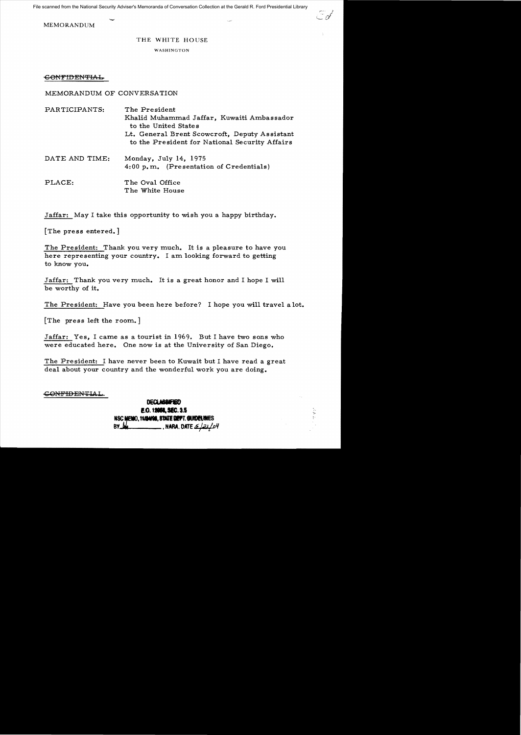File scanned from the National Security Adviser's Memoranda of Conversation Collection at the Gerald R. Ford Presidential Library

MEMORANDUM

## THE WHITE HOUSE

WASHINGTON

## $\epsilon$ ONFIDENTIAL

MEMORANDUM OF CONVERSATION

| PARTICIPANTS:  | The President<br>Khalid Muhammad Jaffar, Kuwaiti Ambassador<br>to the United States<br>Lt. General Brent Scowcroft, Deputy Assistant<br>to the President for National Security Affairs |
|----------------|----------------------------------------------------------------------------------------------------------------------------------------------------------------------------------------|
| DATE AND TIME: | Monday, July 14, 1975<br>4:00 p.m. (Presentation of Credentials)                                                                                                                       |
| PLACE:         | The Oval Office<br>The White House                                                                                                                                                     |

Jaffar: May I take this opportunity to wish you a happy birthday.

[The press entered. ]

The President: Thank you very much. It is a pleasure to have you here representing your country. I am looking forward to getting to know you.

Jaffar: Thank you very much. It is a great honor and I hope I will be worthy of it.

The President: Have you been here before? I hope you will travel a lot.

 $[The \n press left the room.]$ 

Jaffar: Yes, I came as a tourist in 1969. But I have two sons who were educated here. One now is at the University of San Diego.

The President: I have never been to Kuwait but I have read a great deal about your country and the wonderful work you are doing.

CO<del>NFIDENTI</del>AI

**DECLASSIFIED E.O.19954, SEC.3.5 NSC MEMO, 11/84/98, 8TATE DEFT. GUIDEL! BY ,.** •HAM, **OATE** sj;ll!rJI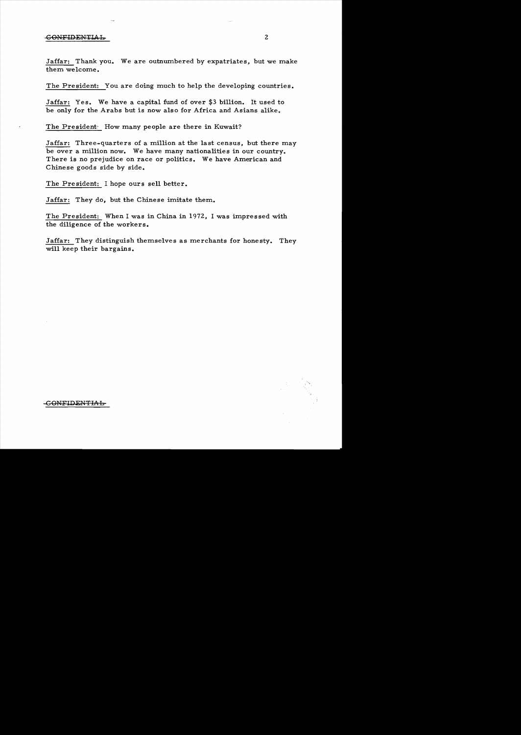## -CONFIDENTIAL 2

Jaffar: Thank you. We are outnumbered by expatriates, but we make them welcome.

The President: You are doing much to help the developing countries.

Jaffar: Yes. We have a capital fund of over \$3 billion. It used to be only for the Arabs but is now also for Africa and Asians alike.

The President: How many people are there in Kuwait?

Jaffar: Three-quarters of a million at the last census, but there may be over a million now. We have many nationalities in our country. There is no prejudice on race or politics. We have American and Chinese goods side by side.

The President: I hope ours sell better.

Jaffar: They do, but the Chinese imitate them.

The President: When I was in China in 1972, I was impressed with the diligence of the workers.

Jaffar: They distinguish themselves as merchants for honesty. They will keep their bargains.



-GONFIDENTIAL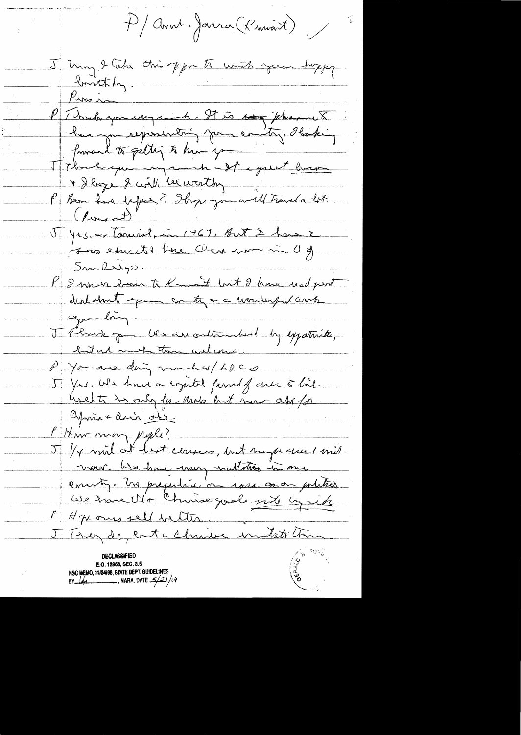P/Annt. Jarra (Knivant)

J Uning 2 Cube this opporte with your hoppy Pierre P Theologon weg a h. It is to fleanch fromand to getting to him you T7 kme qui injamin - It i grent brave J yes et tourist, in 1967, But 2 have 2  $Sm-lly2.$ P 2 mm en lisse te Kmait but 8 have read pert copin long. J Chart poi US au ortination by expatricte, hat and most them will come P You are ding much w/ LDCD 5 Yrs. We had a crystal family gue & hil. uselts in only for and but now ass for Oprès le le dir. Mr man pyle? J 3/4 mil at last conses, but myse ever 1 mil vour les hone very nublation in me enuity. In prejudice on more on politics. We trane Ult Chine goule nite cysite P Hze ones sell better. J. Trez de cate chrise montate time deciassified E.O. 12958, SEC. 3.5 NSC MEMO, 11/24/98, STATE DEPT. GUIDELINES

NARA. DATE  $\frac{2}{2}$ /34